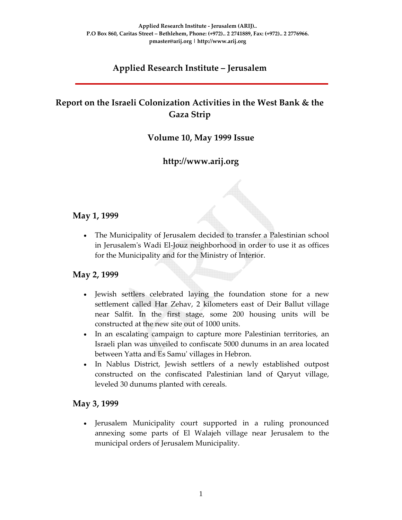# **Applied Research Institute – Jerusalem**

## **Report on the Israeli Colonization Activities in the West Bank & the Gaza Strip**

#### **Volume 10, May 1999 Issue**

## **http://www.arij.org**

#### **May 1, 1999**

• The Municipality of Jerusalem decided to transfer a Palestinian school in Jerusalemʹs Wadi El‐Jouz neighborhood in order to use it as offices for the Municipality and for the Ministry of Interior.

#### **May 2, 1999**

- Jewish settlers celebrated laying the foundation stone for a new settlement called Har Zehav, 2 kilometers east of Deir Ballut village near Salfit. In the first stage, some 200 housing units will be constructed at the new site out of 1000 units.
- In an escalating campaign to capture more Palestinian territories, an Israeli plan was unveiled to confiscate 5000 dunums in an area located between Yatta and Es Samuʹ villages in Hebron.
- In Nablus District, Jewish settlers of a newly established outpost constructed on the confiscated Palestinian land of Qaryut village, leveled 30 dunums planted with cereals.

#### **May 3, 1999**

• Jerusalem Municipality court supported in a ruling pronounced annexing some parts of El Walajeh village near Jerusalem to the municipal orders of Jerusalem Municipality.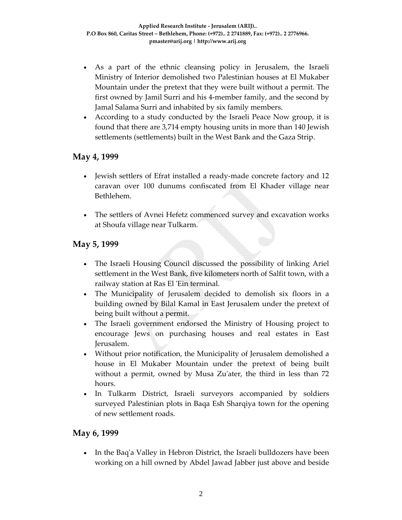- As a part of the ethnic cleansing policy in Jerusalem, the Israeli Ministry of Interior demolished two Palestinian houses at El Mukaber Mountain under the pretext that they were built without a permit. The first owned by Jamil Surri and his 4‐member family, and the second by Jamal Salama Surri and inhabited by six family members.
- According to a study conducted by the Israeli Peace Now group, it is found that there are 3,714 empty housing units in more than 140 Jewish settlements (settlements) built in the West Bank and the Gaza Strip.

#### **May 4, 1999**

- Jewish settlers of Efrat installed a ready-made concrete factory and 12 caravan over 100 dunums confiscated from El Khader village near Bethlehem.
- The settlers of Avnei Hefetz commenced survey and excavation works at Shoufa village near Tulkarm.

### **May 5, 1999**

- The Israeli Housing Council discussed the possibility of linking Ariel settlement in the West Bank, five kilometers north of Salfit town, with a railway station at Ras El ʹEin terminal.
- The Municipality of Jerusalem decided to demolish six floors in a building owned by Bilal Kamal in East Jerusalem under the pretext of being built without a permit.
- The Israeli government endorsed the Ministry of Housing project to encourage Jews on purchasing houses and real estates in East Jerusalem.
- Without prior notification, the Municipality of Jerusalem demolished a house in El Mukaber Mountain under the pretext of being built without a permit, owned by Musa Zu'ater, the third in less than 72 hours.
- In Tulkarm District, Israeli surveyors accompanied by soldiers surveyed Palestinian plots in Baqa Esh Sharqiya town for the opening of new settlement roads.

### **May 6, 1999**

In the Baq'a Valley in Hebron District, the Israeli bulldozers have been working on a hill owned by Abdel Jawad Jabber just above and beside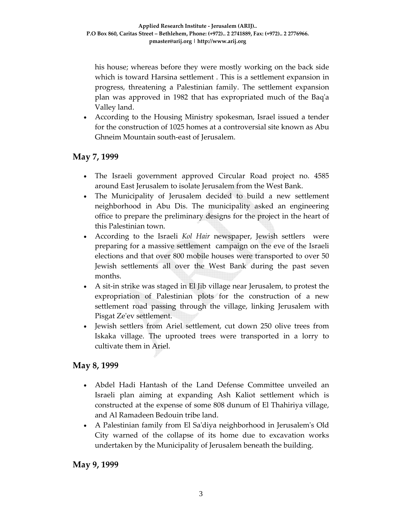his house; whereas before they were mostly working on the back side which is toward Harsina settlement . This is a settlement expansion in progress, threatening a Palestinian family. The settlement expansion plan was approved in 1982 that has expropriated much of the Baqʹa Valley land.

• According to the Housing Ministry spokesman, Israel issued a tender for the construction of 1025 homes at a controversial site known as Abu Ghneim Mountain south‐east of Jerusalem.

### **May 7, 1999**

- The Israeli government approved Circular Road project no. 4585 around East Jerusalem to isolate Jerusalem from the West Bank.
- The Municipality of Jerusalem decided to build a new settlement neighborhood in Abu Dis. The municipality asked an engineering office to prepare the preliminary designs for the project in the heart of this Palestinian town.
- According to the Israeli *Kol Hair* newspaper, Jewish settlers were preparing for a massive settlement campaign on the eve of the Israeli elections and that over 800 mobile houses were transported to over 50 Jewish settlements all over the West Bank during the past seven months.
- A sit-in strike was staged in El Jib village near Jerusalem, to protest the expropriation of Palestinian plots for the construction of a new settlement road passing through the village, linking Jerusalem with Pisgat Zeʹev settlement.
- Jewish settlers from Ariel settlement, cut down 250 olive trees from Iskaka village. The uprooted trees were transported in a lorry to cultivate them in Ariel.

### **May 8, 1999**

- Abdel Hadi Hantash of the Land Defense Committee unveiled an Israeli plan aiming at expanding Ash Kaliot settlement which is constructed at the expense of some 808 dunum of El Thahiriya village, and Al Ramadeen Bedouin tribe land.
- A Palestinian family from El Saʹdiya neighborhood in Jerusalemʹs Old City warned of the collapse of its home due to excavation works undertaken by the Municipality of Jerusalem beneath the building.

#### **May 9, 1999**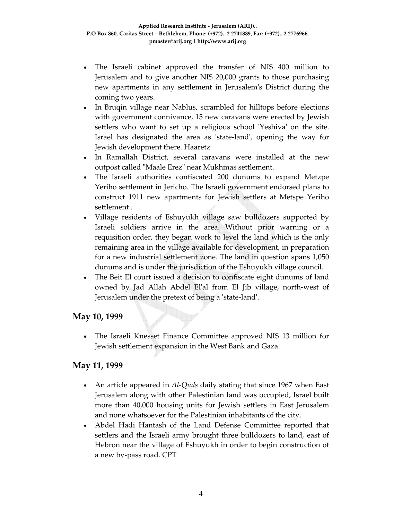- The Israeli cabinet approved the transfer of NIS 400 million to Jerusalem and to give another NIS 20,000 grants to those purchasing new apartments in any settlement in Jerusalemʹs District during the coming two years.
- In Bruqin village near Nablus, scrambled for hilltops before elections with government connivance, 15 new caravans were erected by Jewish settlers who want to set up a religious school 'Yeshiva' on the site. Israel has designated the area as 'state-land', opening the way for Jewish development there. Haaretz
- In Ramallah District, several caravans were installed at the new outpost called "Maale Erez" near Mukhmas settlement.
- The Israeli authorities confiscated 200 dunums to expand Metzpe Yeriho settlement in Jericho. The Israeli government endorsed plans to construct 1911 new apartments for Jewish settlers at Metspe Yeriho settlement .
- Village residents of Eshuyukh village saw bulldozers supported by Israeli soldiers arrive in the area. Without prior warning or a requisition order, they began work to level the land which is the only remaining area in the village available for development, in preparation for a new industrial settlement zone. The land in question spans 1,050 dunums and is under the jurisdiction of the Eshuyukh village council.
- The Beit El court issued a decision to confiscate eight dunums of land owned by Jad Allah Abdel Elʹal from El Jib village, north‐west of Jerusalem under the pretext of being a 'state-land'.

#### **May 10, 1999**

• The Israeli Knesset Finance Committee approved NIS 13 million for Jewish settlement expansion in the West Bank and Gaza.

### **May 11, 1999**

- An article appeared in *Al‐Quds* daily stating that since 1967 when East Jerusalem along with other Palestinian land was occupied, Israel built more than 40,000 housing units for Jewish settlers in East Jerusalem and none whatsoever for the Palestinian inhabitants of the city.
- Abdel Hadi Hantash of the Land Defense Committee reported that settlers and the Israeli army brought three bulldozers to land, east of Hebron near the village of Eshuyukh in order to begin construction of a new by‐pass road. CPT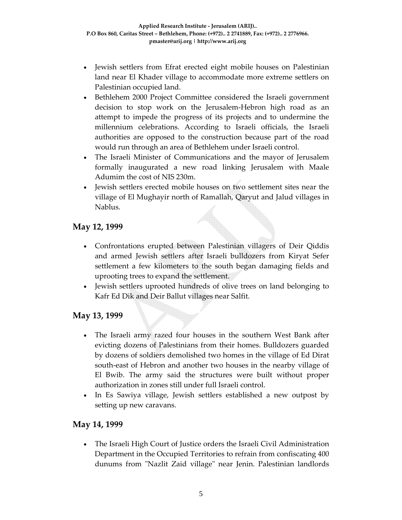- Jewish settlers from Efrat erected eight mobile houses on Palestinian land near El Khader village to accommodate more extreme settlers on Palestinian occupied land.
- Bethlehem 2000 Project Committee considered the Israeli government decision to stop work on the Jerusalem‐Hebron high road as an attempt to impede the progress of its projects and to undermine the millennium celebrations. According to Israeli officials, the Israeli authorities are opposed to the construction because part of the road would run through an area of Bethlehem under Israeli control.
- The Israeli Minister of Communications and the mayor of Jerusalem formally inaugurated a new road linking Jerusalem with Maale Adumim the cost of NIS 230m.
- Jewish settlers erected mobile houses on two settlement sites near the village of El Mughayir north of Ramallah, Qaryut and Jalud villages in Nablus.

## **May 12, 1999**

- Confrontations erupted between Palestinian villagers of Deir Qiddis and armed Jewish settlers after Israeli bulldozers from Kiryat Sefer settlement a few kilometers to the south began damaging fields and uprooting trees to expand the settlement.
- Jewish settlers uprooted hundreds of olive trees on land belonging to Kafr Ed Dik and Deir Ballut villages near Salfit.

### **May 13, 1999**

- The Israeli army razed four houses in the southern West Bank after evicting dozens of Palestinians from their homes. Bulldozers guarded by dozens of soldiers demolished two homes in the village of Ed Dirat south-east of Hebron and another two houses in the nearby village of El Bwib. The army said the structures were built without proper authorization in zones still under full Israeli control.
- In Es Sawiya village, Jewish settlers established a new outpost by setting up new caravans.

### **May 14, 1999**

• The Israeli High Court of Justice orders the Israeli Civil Administration Department in the Occupied Territories to refrain from confiscating 400 dunums from "Nazlit Zaid village" near Jenin. Palestinian landlords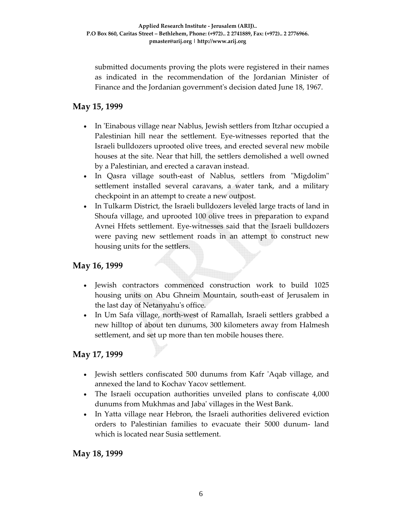submitted documents proving the plots were registered in their names as indicated in the recommendation of the Jordanian Minister of Finance and the Jordanian governmentʹs decision dated June 18, 1967.

### **May 15, 1999**

- In ʹEinabous village near Nablus, Jewish settlers from Itzhar occupied a Palestinian hill near the settlement. Eye‐witnesses reported that the Israeli bulldozers uprooted olive trees, and erected several new mobile houses at the site. Near that hill, the settlers demolished a well owned by a Palestinian, and erected a caravan instead.
- In Qasra village south-east of Nablus, settlers from "Migdolim" settlement installed several caravans, a water tank, and a military checkpoint in an attempt to create a new outpost.
- In Tulkarm District, the Israeli bulldozers leveled large tracts of land in Shoufa village, and uprooted 100 olive trees in preparation to expand Avnei Hfets settlement. Eye‐witnesses said that the Israeli bulldozers were paving new settlement roads in an attempt to construct new housing units for the settlers.

### **May 16, 1999**

- Jewish contractors commenced construction work to build 1025 housing units on Abu Ghneim Mountain, south‐east of Jerusalem in the last day of Netanyahuʹs office.
- In Um Safa village, north‐west of Ramallah, Israeli settlers grabbed a new hilltop of about ten dunums, 300 kilometers away from Halmesh settlement, and set up more than ten mobile houses there.

### **May 17, 1999**

- Jewish settlers confiscated 500 dunums from Kafr 'Aqab village, and annexed the land to Kochav Yacov settlement.
- The Israeli occupation authorities unveiled plans to confiscate 4,000 dunums from Mukhmas and Jabaʹ villages in the West Bank.
- In Yatta village near Hebron, the Israeli authorities delivered eviction orders to Palestinian families to evacuate their 5000 dunum‐ land which is located near Susia settlement.

#### **May 18, 1999**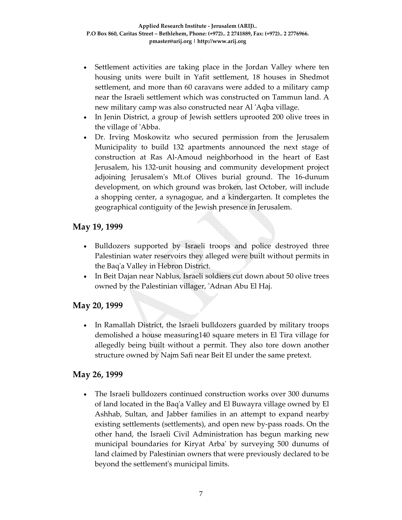- Settlement activities are taking place in the Jordan Valley where ten housing units were built in Yafit settlement, 18 houses in Shedmot settlement, and more than 60 caravans were added to a military camp near the Israeli settlement which was constructed on Tammun land. A new military camp was also constructed near Al ʹAqba village.
- In Jenin District, a group of Jewish settlers uprooted 200 olive trees in the village of ʹAbba.
- Dr. Irving Moskowitz who secured permission from the Jerusalem Municipality to build 132 apartments announced the next stage of construction at Ras Al‐Amoud neighborhood in the heart of East Jerusalem, his 132‐unit housing and community development project adjoining Jerusalemʹs Mt.of Olives burial ground. The 16‐dunum development, on which ground was broken, last October, will include a shopping center, a synagogue, and a kindergarten. It completes the geographical contiguity of the Jewish presence in Jerusalem.

### **May 19, 1999**

- Bulldozers supported by Israeli troops and police destroyed three Palestinian water reservoirs they alleged were built without permits in the Baqʹa Valley in Hebron District.
- In Beit Dajan near Nablus, Israeli soldiers cut down about 50 olive trees owned by the Palestinian villager, ʹAdnan Abu El Haj.

### **May 20, 1999**

• In Ramallah District, the Israeli bulldozers guarded by military troops demolished a house measuring140 square meters in El Tira village for allegedly being built without a permit. They also tore down another structure owned by Najm Safi near Beit El under the same pretext.

#### **May 26, 1999**

• The Israeli bulldozers continued construction works over 300 dunums of land located in the Baqʹa Valley and El Buwayra village owned by El Ashhab, Sultan, and Jabber families in an attempt to expand nearby existing settlements (settlements), and open new by‐pass roads. On the other hand, the Israeli Civil Administration has begun marking new municipal boundaries for Kiryat Arbaʹ by surveying 500 dunums of land claimed by Palestinian owners that were previously declared to be beyond the settlementʹs municipal limits.